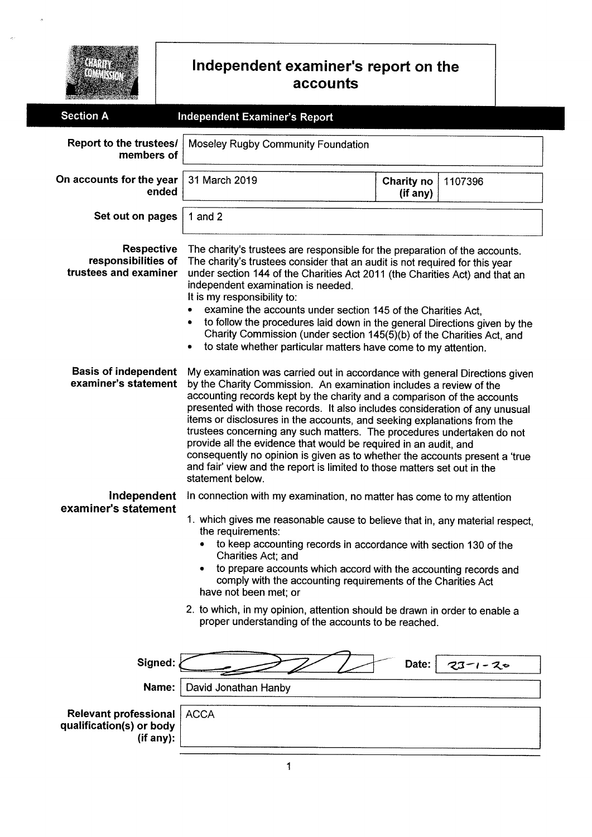

#### Independent examiner's report on the account

| <b>Section A</b>                                                      | <b>Independent Examiner's Report</b>                                                                                                                                                                                                                                                                                                                                                                                                                                                                                                                                                                                                                                                                               |                        |               |  |  |
|-----------------------------------------------------------------------|--------------------------------------------------------------------------------------------------------------------------------------------------------------------------------------------------------------------------------------------------------------------------------------------------------------------------------------------------------------------------------------------------------------------------------------------------------------------------------------------------------------------------------------------------------------------------------------------------------------------------------------------------------------------------------------------------------------------|------------------------|---------------|--|--|
| Report to the trustees/<br>members of                                 | Moseley Rugby Community Foundation                                                                                                                                                                                                                                                                                                                                                                                                                                                                                                                                                                                                                                                                                 |                        |               |  |  |
| On accounts for the year<br>ended                                     | 31 March 2019                                                                                                                                                                                                                                                                                                                                                                                                                                                                                                                                                                                                                                                                                                      | Charity no<br>(if any) | 1107396       |  |  |
| Set out on pages                                                      | 1 and $2$                                                                                                                                                                                                                                                                                                                                                                                                                                                                                                                                                                                                                                                                                                          |                        |               |  |  |
| <b>Respective</b><br>responsibilities of<br>trustees and examiner     | The charity's trustees are responsible for the preparation of the accounts.<br>The charity's trustees consider that an audit is not required for this year<br>under section 144 of the Charities Act 2011 (the Charities Act) and that an<br>independent examination is needed.<br>It is my responsibility to:<br>examine the accounts under section 145 of the Charities Act,<br>to follow the procedures laid down in the general Directions given by the<br>٠<br>Charity Commission (under section 145(5)(b) of the Charities Act, and<br>to state whether particular matters have come to my attention.<br>$\bullet$                                                                                           |                        |               |  |  |
| <b>Basis of independent</b><br>examiner's statement                   | My examination was carried out in accordance with general Directions given<br>by the Charity Commission. An examination includes a review of the<br>accounting records kept by the charity and a comparison of the accounts<br>presented with those records. It also includes consideration of any unusual<br>items or disclosures in the accounts, and seeking explanations from the<br>trustees concerning any such matters. The procedures undertaken do not<br>provide all the evidence that would be required in an audit, and<br>consequently no opinion is given as to whether the accounts present a 'true<br>and fair' view and the report is limited to those matters set out in the<br>statement below. |                        |               |  |  |
| Independent<br>examiner's statement                                   | In connection with my examination, no matter has come to my attention<br>1. which gives me reasonable cause to believe that in, any material respect,<br>the requirements:<br>to keep accounting records in accordance with section 130 of the<br>Charities Act; and<br>to prepare accounts which accord with the accounting records and<br>comply with the accounting requirements of the Charities Act<br>have not been met; or<br>2. to which, in my opinion, attention should be drawn in order to enable a<br>proper understanding of the accounts to be reached.                                                                                                                                             |                        |               |  |  |
| Signed:                                                               |                                                                                                                                                                                                                                                                                                                                                                                                                                                                                                                                                                                                                                                                                                                    | Date:                  | $23 - 1 - 20$ |  |  |
| Name:                                                                 | David Jonathan Hanby                                                                                                                                                                                                                                                                                                                                                                                                                                                                                                                                                                                                                                                                                               |                        |               |  |  |
| <b>Relevant professional</b><br>qualification(s) or body<br>(if any): | <b>ACCA</b>                                                                                                                                                                                                                                                                                                                                                                                                                                                                                                                                                                                                                                                                                                        |                        |               |  |  |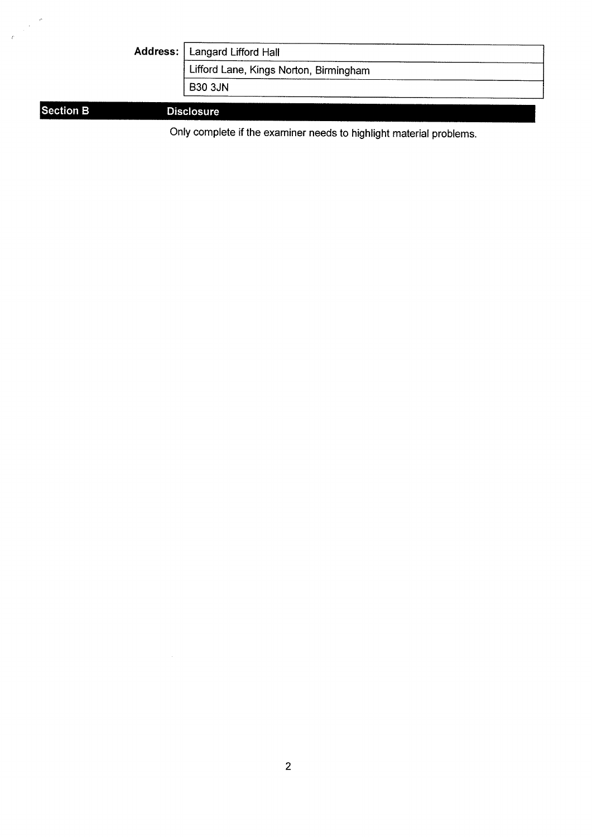|                  | Address: | Langard Lifford Hall                   |
|------------------|----------|----------------------------------------|
|                  |          | Lifford Lane, Kings Norton, Birmingham |
|                  |          | <b>B30 3JN</b>                         |
| <b>Section B</b> |          | <b>Disclosure</b>                      |

Only complete if the examiner needs to highlight material problems.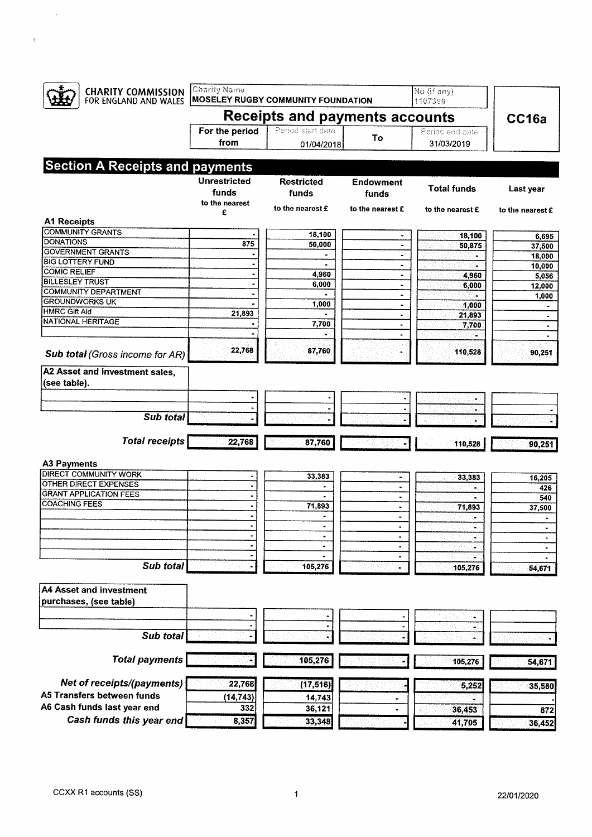| <b>CHARITY COMMISSION</b><br>FOR ENGLAND AND WALES                                            | Charity Name                                   | <b>MOSELEY RUGBY COMMUNITY FOUNDATION</b> |                             | No (if any)<br>1107396 |                             |  |
|-----------------------------------------------------------------------------------------------|------------------------------------------------|-------------------------------------------|-----------------------------|------------------------|-----------------------------|--|
|                                                                                               |                                                | Receipts and payments accounts            |                             |                        | CC16a                       |  |
|                                                                                               | For the period                                 | Period start date                         | To                          | Period end date        |                             |  |
|                                                                                               | from                                           | 01/04/2018                                |                             | 31/03/2019             |                             |  |
| <b>Section A Receipts and payments</b>                                                        |                                                |                                           |                             |                        |                             |  |
|                                                                                               | <b>Unrestricted</b><br>funds<br>to the nearest | <b>Restricted</b><br>funds                | <b>Endowment</b><br>funds   | <b>Total funds</b>     | Last year                   |  |
| <b>A1 Receipts</b>                                                                            | £                                              | to the nearest £                          | to the nearest £            | to the nearest £       | to the nearest £            |  |
| <b>COMMUNITY GRANTS</b>                                                                       |                                                |                                           |                             |                        |                             |  |
| <b>DONATIONS</b>                                                                              | 875                                            | 18,100<br>50,000                          | $\blacksquare$<br>$\bullet$ | 18,100<br>50,875       | 6,695<br>37,500             |  |
| <b>GOVERNMENT GRANTS</b>                                                                      |                                                | $\blacksquare$                            | $\blacksquare$              | ò.                     | 18,000                      |  |
| <b>BIG LOTTERY FUND</b>                                                                       |                                                | $\bullet$                                 | $\bullet$                   | œ.                     | 10,000                      |  |
| <b>COMIC RELIEF</b>                                                                           | $\bullet$                                      | 4,960                                     | ۰                           | 4,960                  | 5,056                       |  |
| <b>BILLESLEY TRUST</b><br><b>COMMUNITY DEPARTMENT</b>                                         |                                                | 6,000                                     | $\blacksquare$              | 6,000                  | 12,000                      |  |
| <b>GROUNDWORKS UK</b>                                                                         |                                                |                                           | $\bullet$                   | ÷                      | 1,000                       |  |
| <b>HMRC Gift Aid</b>                                                                          | 21,893                                         | 1,000                                     | $\blacksquare$              | 1,000                  |                             |  |
| <b>NATIONAL HERITAGE</b>                                                                      |                                                | 7,700                                     | ٠<br>$\bullet$              | 21,893<br>7,700        | $\blacksquare$<br>$\bullet$ |  |
|                                                                                               |                                                | ۰                                         | $\bullet$                   |                        |                             |  |
| Sub total (Gross income for AR)                                                               | 22,768                                         | 87,760                                    |                             | 110,528                | 90,251                      |  |
| A2 Asset and investment sales,                                                                |                                                |                                           |                             |                        |                             |  |
| (see table).                                                                                  |                                                |                                           |                             |                        |                             |  |
|                                                                                               |                                                |                                           |                             |                        |                             |  |
| Sub total                                                                                     |                                                |                                           |                             | ÷.                     |                             |  |
| <b>Total receipts</b>                                                                         | 22,768                                         | 87,760                                    |                             | 110,528                | 90,251                      |  |
|                                                                                               |                                                |                                           |                             |                        |                             |  |
| <b>A3 Payments</b><br><b>DIRECT COMMUNITY WORK</b>                                            |                                                |                                           |                             |                        |                             |  |
| <b>OTHER DIRECT EXPENSES</b>                                                                  | ٠                                              | 33,383<br>$\bullet$                       | $\blacksquare$              | 33,383                 | 16,205                      |  |
| <b>GRANT APPLICATION FEES</b>                                                                 |                                                |                                           | ٠                           |                        | 426<br>540                  |  |
| <b>COACHING FEES</b>                                                                          | ٠                                              | 71,893                                    | $\blacksquare$              | 71,893                 | 37,500                      |  |
|                                                                                               | ٠                                              |                                           | $\bullet$                   |                        |                             |  |
|                                                                                               | ٠                                              | $\blacksquare$                            | $\blacksquare$              | ۰                      | ٠                           |  |
|                                                                                               |                                                | $\bullet$                                 | ٠                           | ÷                      | ٠                           |  |
|                                                                                               | ٠                                              | $\blacksquare$                            | $\bullet$                   |                        | $\blacksquare$              |  |
| Sub total                                                                                     |                                                | 105,276                                   | ۰<br>×                      | ۰<br>105,276           | $\bullet$<br>54,671         |  |
|                                                                                               |                                                |                                           |                             |                        |                             |  |
|                                                                                               |                                                |                                           |                             |                        |                             |  |
|                                                                                               |                                                |                                           |                             |                        |                             |  |
|                                                                                               |                                                |                                           |                             | آج،                    |                             |  |
| Sub total                                                                                     |                                                |                                           |                             | ¥                      |                             |  |
| <b>Total payments</b>                                                                         |                                                | 105,276                                   |                             | 105,276                | 54,671                      |  |
| <b>A4 Asset and investment</b><br>purchases, (see table)<br><b>Net of receipts/(payments)</b> | 22,768                                         | (17, 516)                                 |                             | 5,252                  | 35,580                      |  |
|                                                                                               | (14, 743)                                      | 14,743                                    |                             |                        |                             |  |
| A5 Transfers between funds<br>A6 Cash funds last year end                                     | 332                                            | 36,121                                    |                             | 36,453                 | 872                         |  |

 $\sim$   $\sim$ 

 $\label{eq:2.1} \nabla^2 \left( \frac{1}{2} \right) = \frac{1}{2} \left( \frac{1}{2} \right) \left( \frac{1}{2} \right)$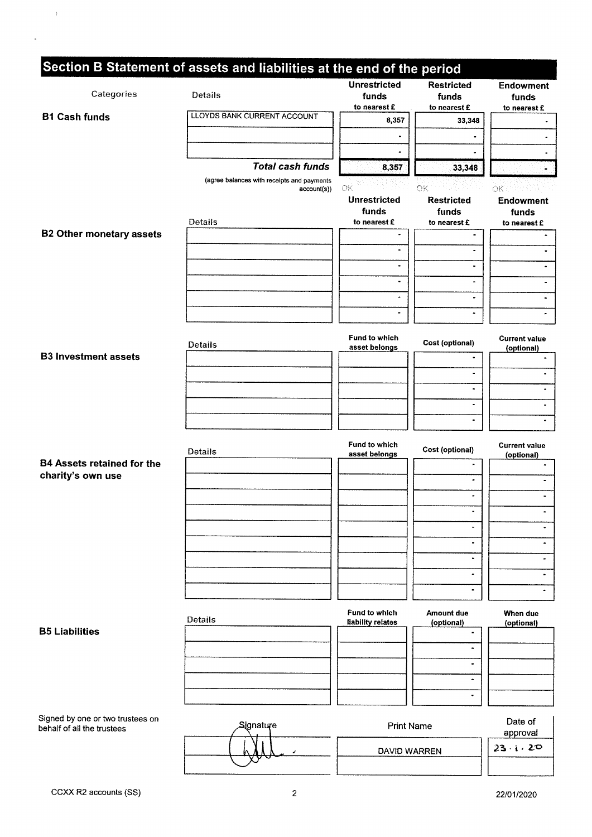| Categories                                                     | Section B Statement of assets and liabilities at the end of the period<br>Details | <b>Unrestricted</b><br>funds                       | <b>Restricted</b><br>funds                       | <b>Endowment</b><br>funds                |
|----------------------------------------------------------------|-----------------------------------------------------------------------------------|----------------------------------------------------|--------------------------------------------------|------------------------------------------|
|                                                                |                                                                                   | to nearest £                                       | to nearest £                                     | to nearest £                             |
| <b>B1 Cash funds</b>                                           | <b>LLOYDS BANK CURRENT ACCOUNT</b>                                                | 8,357                                              | 33,348                                           |                                          |
|                                                                |                                                                                   | ٠                                                  |                                                  |                                          |
|                                                                |                                                                                   | $\blacksquare$                                     |                                                  |                                          |
|                                                                | <b>Total cash funds</b>                                                           | 8,357                                              | 33,348                                           |                                          |
|                                                                | (agree balances with receipts and payments                                        |                                                    |                                                  |                                          |
|                                                                | account(s))<br>Details                                                            | OК<br><b>Unrestricted</b><br>funds<br>to nearest £ | OK<br><b>Restricted</b><br>funds<br>to nearest £ | OК<br>Endowment<br>funds<br>to nearest £ |
| <b>B2 Other monetary assets</b>                                |                                                                                   | $\bullet$                                          | $\blacksquare$                                   |                                          |
|                                                                |                                                                                   | $\bullet$                                          | ٠                                                |                                          |
|                                                                |                                                                                   | $\blacksquare$                                     | ۰                                                |                                          |
|                                                                |                                                                                   | $\bullet$                                          | $\bullet$                                        |                                          |
|                                                                |                                                                                   | ٠                                                  | ٠                                                |                                          |
|                                                                |                                                                                   | $\blacksquare$                                     |                                                  |                                          |
|                                                                |                                                                                   |                                                    | ٠                                                |                                          |
|                                                                | Details                                                                           | Fund to which<br>asset belongs                     | Cost (optional)                                  | <b>Current value</b><br>(optional)       |
| <b>B3 Investment assets</b>                                    |                                                                                   |                                                    | $\blacksquare$                                   |                                          |
|                                                                |                                                                                   |                                                    | $\blacksquare$                                   | $\blacksquare$                           |
|                                                                |                                                                                   |                                                    | $\bullet$                                        | ۰                                        |
|                                                                |                                                                                   |                                                    | $\frac{1}{2}$                                    |                                          |
|                                                                |                                                                                   |                                                    | $\blacksquare$                                   |                                          |
|                                                                | Details                                                                           | Fund to which<br>asset belongs                     | Cost (optional)                                  | <b>Current value</b><br>(optional)       |
| <b>B4 Assets retained for the</b>                              |                                                                                   |                                                    | ۰                                                |                                          |
| charity's own use                                              |                                                                                   |                                                    | $\blacksquare$                                   | ۰                                        |
|                                                                |                                                                                   |                                                    |                                                  | $\blacksquare$                           |
|                                                                |                                                                                   |                                                    |                                                  |                                          |
|                                                                |                                                                                   |                                                    |                                                  | $\blacksquare$                           |
|                                                                |                                                                                   |                                                    | ٠                                                | ٠                                        |
|                                                                |                                                                                   |                                                    | $\bullet$                                        | $\blacksquare$                           |
|                                                                |                                                                                   |                                                    | $\blacksquare$                                   | $\blacksquare$                           |
|                                                                |                                                                                   |                                                    |                                                  |                                          |
|                                                                |                                                                                   |                                                    |                                                  |                                          |
| <b>B5 Liabilities</b>                                          | <b>Details</b>                                                                    | Fund to which<br>liability relates                 | <b>Amount due</b><br>(optional)                  | When due<br>(optional)                   |
|                                                                |                                                                                   |                                                    | ٠                                                |                                          |
|                                                                |                                                                                   |                                                    | ۰                                                |                                          |
|                                                                |                                                                                   |                                                    | $\blacksquare$                                   |                                          |
|                                                                |                                                                                   |                                                    | ۰                                                |                                          |
|                                                                |                                                                                   |                                                    | ٠                                                |                                          |
| Signed by one or two trustees on<br>behalf of all the trustees | Signature                                                                         | <b>Print Name</b>                                  |                                                  | Date of                                  |
|                                                                |                                                                                   |                                                    |                                                  | approval<br>23.1.20                      |
|                                                                |                                                                                   | DAVID WARREN                                       |                                                  |                                          |
|                                                                |                                                                                   |                                                    |                                                  |                                          |

 $\bar{I}$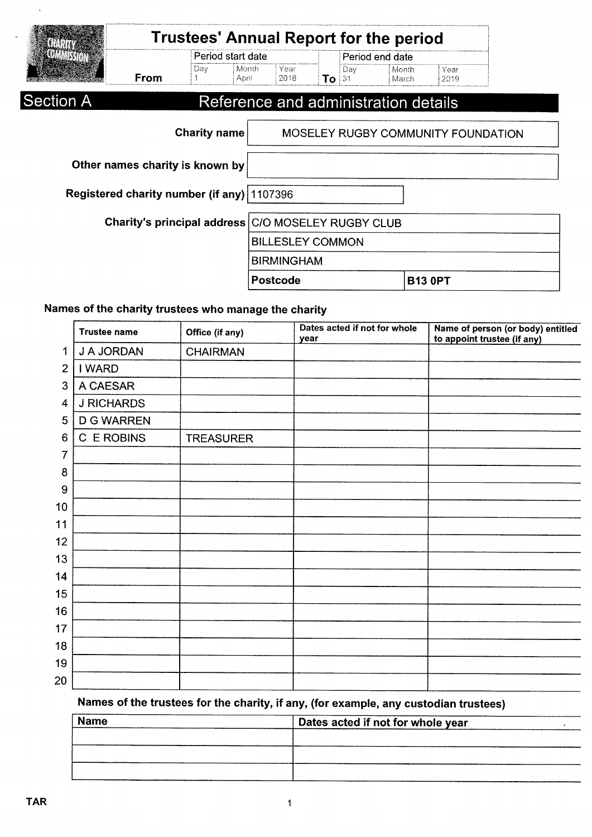|                             |                                            | <b>Trustees' Annual Report for the period</b> |                         |                        |     |                 |                                      |                                    |  |  |
|-----------------------------|--------------------------------------------|-----------------------------------------------|-------------------------|------------------------|-----|-----------------|--------------------------------------|------------------------------------|--|--|
|                             |                                            | Period start date                             |                         |                        |     | Period end date |                                      |                                    |  |  |
|                             | From                                       | Day                                           | Month<br>April          | Year<br>2018           | To: | Day<br>131      | Month<br>March                       | Year<br>2019                       |  |  |
| Section A                   |                                            |                                               |                         |                        |     |                 | Reference and administration details |                                    |  |  |
|                             |                                            |                                               |                         |                        |     |                 |                                      |                                    |  |  |
|                             |                                            | <b>Charity name</b>                           |                         |                        |     |                 |                                      | MOSELEY RUGBY COMMUNITY FOUNDATION |  |  |
|                             |                                            |                                               |                         |                        |     |                 |                                      |                                    |  |  |
|                             | Other names charity is known by            |                                               |                         |                        |     |                 |                                      |                                    |  |  |
|                             | Registered charity number (if any) 1107396 |                                               |                         |                        |     |                 |                                      |                                    |  |  |
|                             |                                            |                                               |                         |                        |     |                 |                                      |                                    |  |  |
| Charity's principal address |                                            |                                               |                         | C/O MOSELEY RUGBY CLUB |     |                 |                                      |                                    |  |  |
|                             |                                            |                                               | <b>BILLESLEY COMMON</b> |                        |     |                 |                                      |                                    |  |  |
|                             |                                            |                                               | <b>BIRMINGHAM</b>       |                        |     |                 |                                      |                                    |  |  |
|                             |                                            |                                               |                         | <b>Postcode</b>        |     |                 |                                      | <b>B13 0PT</b>                     |  |  |

#### Names of the charity trustees who manage the charity

|                 | <b>Trustee name</b> | Office (if any)  | Dates acted if not for whole<br>year | Name of person (or body) entitled<br>to appoint trustee (if any) |
|-----------------|---------------------|------------------|--------------------------------------|------------------------------------------------------------------|
| 1               | J A JORDAN          | <b>CHAIRMAN</b>  |                                      |                                                                  |
| $\overline{2}$  | I WARD              |                  |                                      |                                                                  |
| 3               | A CAESAR            |                  |                                      |                                                                  |
| 4               | <b>J RICHARDS</b>   |                  |                                      |                                                                  |
| 5               | <b>D G WARREN</b>   |                  |                                      |                                                                  |
| $6\phantom{1}6$ | C E ROBINS          | <b>TREASURER</b> |                                      |                                                                  |
| 7               |                     |                  |                                      |                                                                  |
| 8               |                     |                  |                                      |                                                                  |
| 9               |                     |                  |                                      |                                                                  |
| 10              |                     |                  |                                      |                                                                  |
| 11              |                     |                  |                                      |                                                                  |
| 12              |                     |                  |                                      |                                                                  |
| 13              |                     |                  |                                      |                                                                  |
| 14              |                     |                  |                                      |                                                                  |
| 15              |                     |                  |                                      |                                                                  |
| 16              |                     |                  |                                      |                                                                  |
| 17              |                     |                  |                                      |                                                                  |
| 18              |                     |                  |                                      |                                                                  |
| 19              |                     |                  |                                      |                                                                  |
| 20              |                     |                  |                                      |                                                                  |

### Names of the trustees for the charity, if any, (for example, any custodian trustees)

| <b>Name</b> | Dates acted if not for whole year |
|-------------|-----------------------------------|
|             |                                   |
|             |                                   |
|             |                                   |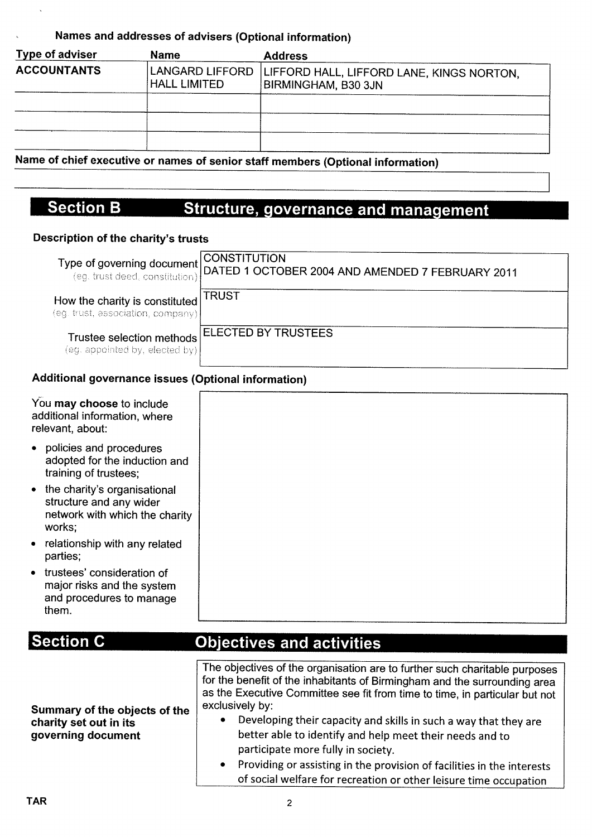#### Names and addresses of advisers (Optional information)

| Type of adviser    | <b>Name</b>         | <b>Address</b>                                                                     |
|--------------------|---------------------|------------------------------------------------------------------------------------|
| <b>ACCOUNTANTS</b> | <b>HALL LIMITED</b> | LANGARD LIFFORD   LIFFORD HALL, LIFFORD LANE, KINGS NORTON,<br>BIRMINGHAM, B30 3JN |
|                    |                     |                                                                                    |
|                    |                     |                                                                                    |
|                    |                     |                                                                                    |

Name of chief executive or names of senior staff members (Optional information)

#### on B Structure, governance and manage

#### Oescription of the charity's trusts

|                                                                     | Type of governing document CONSTITUTION<br>(eg. trust deed, constitution) DATED 1 OCTOBER 2004 AND AMENDED 7 FEBRUARY 2011 |
|---------------------------------------------------------------------|----------------------------------------------------------------------------------------------------------------------------|
| How the charity is constituted<br>(eg. trust, association, company) | TRUST                                                                                                                      |
| Trustee selection methods<br>(eg. appointed by, elected by)         | <b>ELECTED BY TRUSTEES</b>                                                                                                 |

#### Additional governance issues (Optional information)

| You may choose to include<br>additional information, where<br>relevant, about:                             |  |  |  |
|------------------------------------------------------------------------------------------------------------|--|--|--|
| • policies and procedures<br>adopted for the induction and<br>training of trustees;                        |  |  |  |
| • the charity's organisational<br>structure and any wider<br>network with which the charity<br>works:      |  |  |  |
| • relationship with any related<br>parties;                                                                |  |  |  |
| trustees' consideration of<br>$\bullet$<br>major risks and the system<br>and procedures to manage<br>them. |  |  |  |

| <b>Section C</b>                                                              | <b>Objectives and activities</b>                                                                                                                                                                                                                                                                                                                                                                                                                                                                                                                                                      |  |  |  |
|-------------------------------------------------------------------------------|---------------------------------------------------------------------------------------------------------------------------------------------------------------------------------------------------------------------------------------------------------------------------------------------------------------------------------------------------------------------------------------------------------------------------------------------------------------------------------------------------------------------------------------------------------------------------------------|--|--|--|
| Summary of the objects of the<br>charity set out in its<br>governing document | The objectives of the organisation are to further such charitable purposes<br>for the benefit of the inhabitants of Birmingham and the surrounding area<br>as the Executive Committee see fit from time to time, in particular but not<br>exclusively by:<br>Developing their capacity and skills in such a way that they are<br>٠<br>better able to identify and help meet their needs and to<br>participate more fully in society.<br>• Providing or assisting in the provision of facilities in the interests<br>of social welfare for recreation or other leisure time occupation |  |  |  |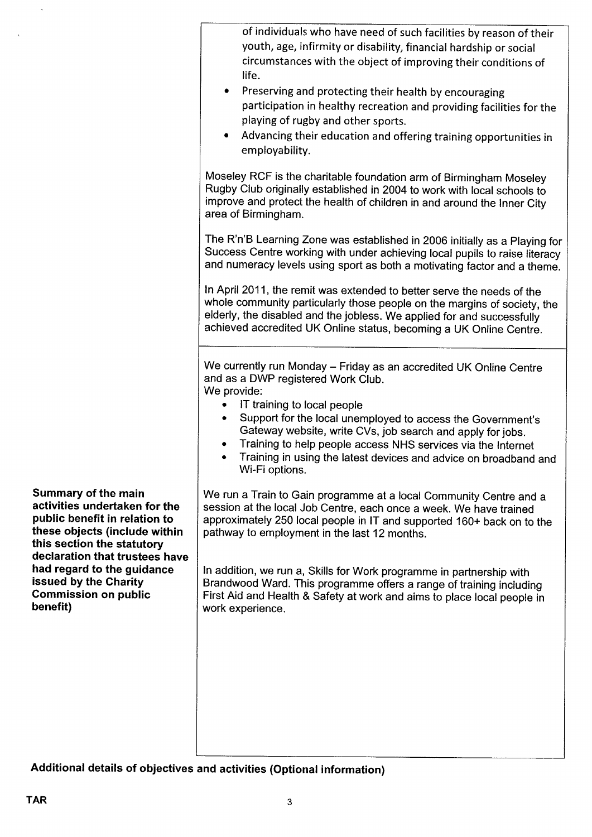|                                                                                                                                                             | of individuals who have need of such facilities by reason of their<br>youth, age, infirmity or disability, financial hardship or social<br>circumstances with the object of improving their conditions of<br>life.<br>Preserving and protecting their health by encouraging<br>٠<br>participation in healthy recreation and providing facilities for the<br>playing of rugby and other sports.<br>Advancing their education and offering training opportunities in<br>employability. |
|-------------------------------------------------------------------------------------------------------------------------------------------------------------|--------------------------------------------------------------------------------------------------------------------------------------------------------------------------------------------------------------------------------------------------------------------------------------------------------------------------------------------------------------------------------------------------------------------------------------------------------------------------------------|
|                                                                                                                                                             | Moseley RCF is the charitable foundation arm of Birmingham Moseley<br>Rugby Club originally established in 2004 to work with local schools to<br>improve and protect the health of children in and around the Inner City<br>area of Birmingham.                                                                                                                                                                                                                                      |
|                                                                                                                                                             | The R'n'B Learning Zone was established in 2006 initially as a Playing for<br>Success Centre working with under achieving local pupils to raise literacy<br>and numeracy levels using sport as both a motivating factor and a theme.                                                                                                                                                                                                                                                 |
|                                                                                                                                                             | In April 2011, the remit was extended to better serve the needs of the<br>whole community particularly those people on the margins of society, the<br>elderly, the disabled and the jobless. We applied for and successfully<br>achieved accredited UK Online status, becoming a UK Online Centre.                                                                                                                                                                                   |
|                                                                                                                                                             | We currently run Monday - Friday as an accredited UK Online Centre<br>and as a DWP registered Work Club.<br>We provide:<br>IT training to local people<br>Support for the local unemployed to access the Government's<br>Gateway website, write CVs, job search and apply for jobs.<br>Training to help people access NHS services via the Internet<br>Training in using the latest devices and advice on broadband and<br>Wi-Fi options.                                            |
| <b>Summary of the main</b><br>activities undertaken for the<br>public benefit in relation to<br>these objects (include within<br>this section the statutory | We run a Train to Gain programme at a local Community Centre and a<br>session at the local Job Centre, each once a week. We have trained<br>approximately 250 local people in IT and supported 160+ back on to the<br>pathway to employment in the last 12 months.                                                                                                                                                                                                                   |
| declaration that trustees have<br>had regard to the guidance<br>issued by the Charity<br><b>Commission on public</b><br>benefit)                            | In addition, we run a, Skills for Work programme in partnership with<br>Brandwood Ward. This programme offers a range of training including<br>First Aid and Health & Safety at work and aims to place local people in<br>work experience.                                                                                                                                                                                                                                           |
|                                                                                                                                                             |                                                                                                                                                                                                                                                                                                                                                                                                                                                                                      |

Additional details of objectives and activities (Optional information)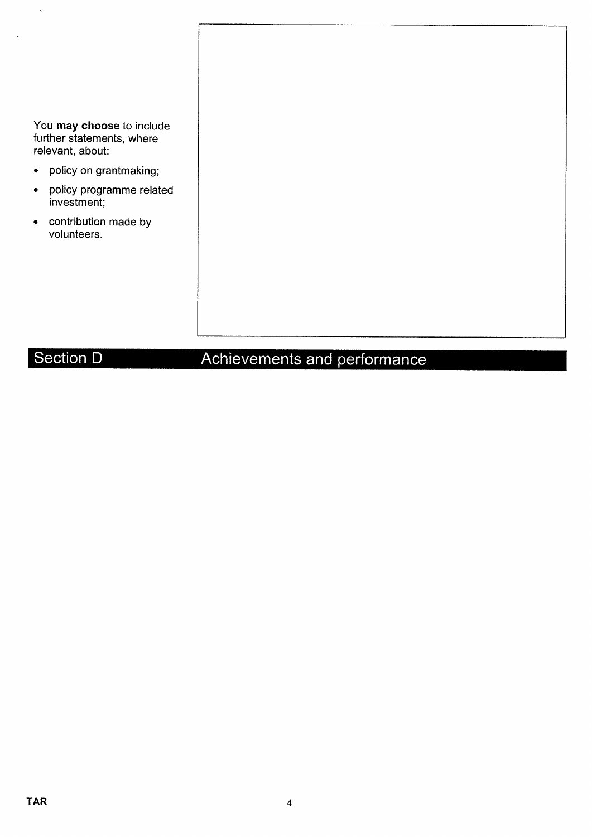| You may choose to include<br>further statements, where<br>relevant, about: |
|----------------------------------------------------------------------------|
| policy on grantmaking;<br>$\bullet$                                        |
| policy programme related<br>$\bullet$<br>investment;                       |
| contribution made by<br>$\bullet$<br>volunteers.                           |
|                                                                            |
|                                                                            |
|                                                                            |
|                                                                            |
|                                                                            |

## Section D

 $\tilde{\mathcal{A}}$ 

 $\overline{\phantom{a}}$ 

# Achievements and performance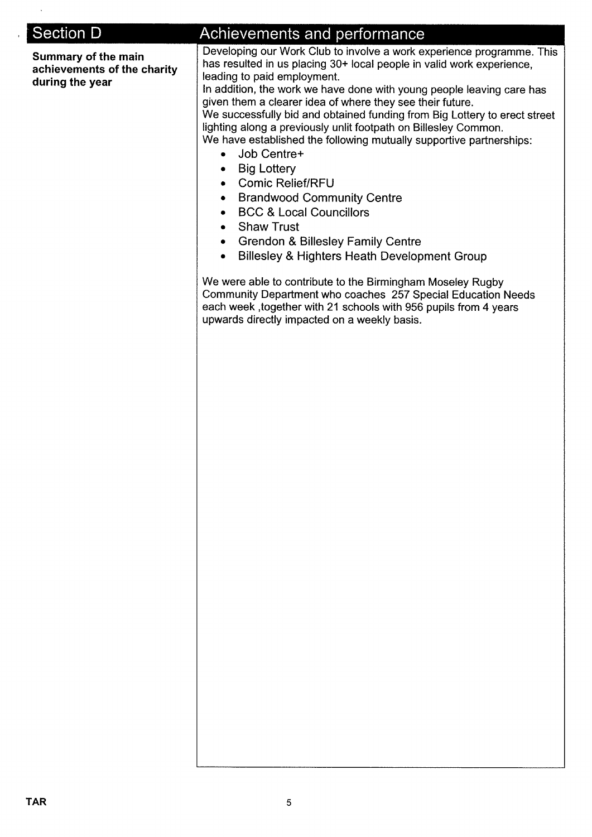| <b>Section D</b>                                                      |                                                                                                                                                                                                                                                                                                                                                                                                                                                                                                                                                                                                                                                                                                                                                                                                                                                                                                                                                                                                                                                                                                                                                         |  |  |  |  |
|-----------------------------------------------------------------------|---------------------------------------------------------------------------------------------------------------------------------------------------------------------------------------------------------------------------------------------------------------------------------------------------------------------------------------------------------------------------------------------------------------------------------------------------------------------------------------------------------------------------------------------------------------------------------------------------------------------------------------------------------------------------------------------------------------------------------------------------------------------------------------------------------------------------------------------------------------------------------------------------------------------------------------------------------------------------------------------------------------------------------------------------------------------------------------------------------------------------------------------------------|--|--|--|--|
| Summary of the main<br>achievements of the charity<br>during the year | Achievements and performance<br>Developing our Work Club to involve a work experience programme. This<br>has resulted in us placing 30+ local people in valid work experience,<br>leading to paid employment.<br>In addition, the work we have done with young people leaving care has<br>given them a clearer idea of where they see their future.<br>We successfully bid and obtained funding from Big Lottery to erect street<br>lighting along a previously unlit footpath on Billesley Common.<br>We have established the following mutually supportive partnerships:<br>Job Centre+<br>$\bullet$<br><b>Big Lottery</b><br>٠<br><b>Comic Relief/RFU</b><br><b>Brandwood Community Centre</b><br>٠<br><b>BCC &amp; Local Councillors</b><br>$\bullet$<br><b>Shaw Trust</b><br>۰<br><b>Grendon &amp; Billesley Family Centre</b><br>۰<br>Billesley & Highters Heath Development Group<br>$\bullet$<br>We were able to contribute to the Birmingham Moseley Rugby<br>Community Department who coaches 257 Special Education Needs<br>each week, together with 21 schools with 956 pupils from 4 years<br>upwards directly impacted on a weekly basis. |  |  |  |  |
|                                                                       |                                                                                                                                                                                                                                                                                                                                                                                                                                                                                                                                                                                                                                                                                                                                                                                                                                                                                                                                                                                                                                                                                                                                                         |  |  |  |  |
|                                                                       |                                                                                                                                                                                                                                                                                                                                                                                                                                                                                                                                                                                                                                                                                                                                                                                                                                                                                                                                                                                                                                                                                                                                                         |  |  |  |  |

 $\sim$